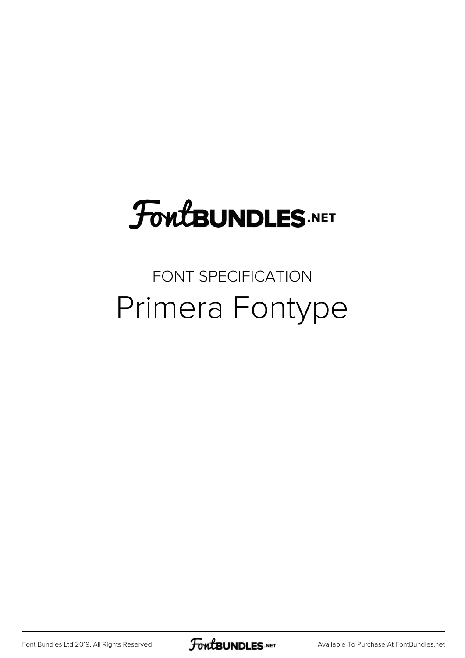## **FoutBUNDLES.NET**

### FONT SPECIFICATION Primera Fontype

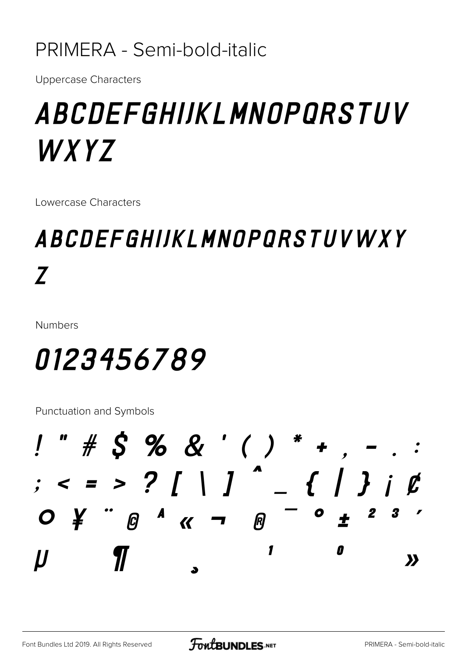### PRIMERA - Semi-bold-italic

**Uppercase Characters** 

## *ABCDEFGHIJKLMNOPORSTUV* WXYZ

Lowercase Characters

## ABCDEFGHIJKLMNOPORSTUVWXY Z

**Numbers** 

## 0123456789

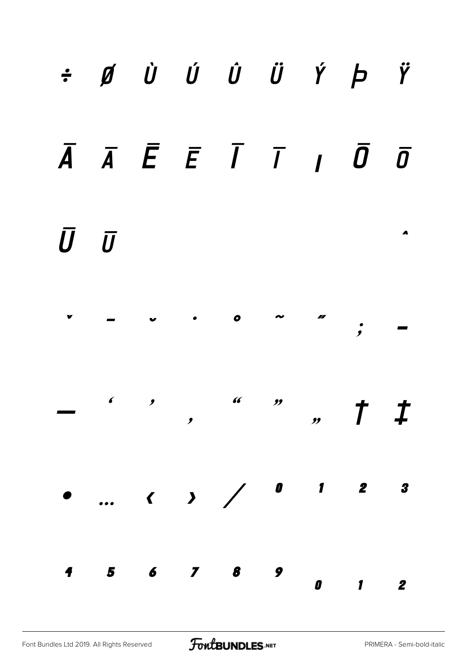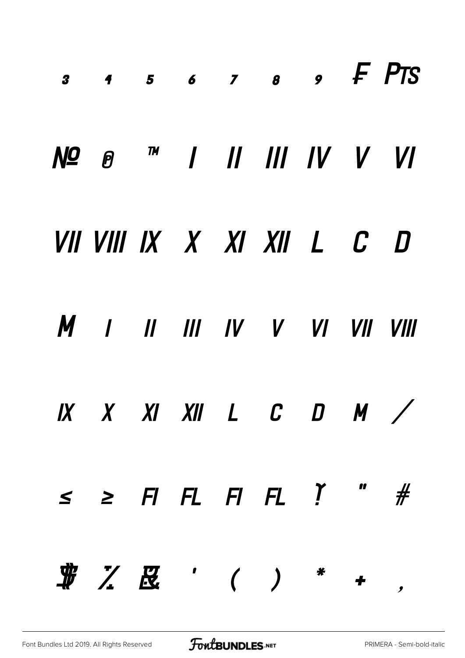| $\begin{array}{cccccccccccccc} 3 & 4 & 5 & 6 & 7 & 8 & 9 & \textit{F} & \textit{PTS} \end{array}$     |  |  |  |  |
|-------------------------------------------------------------------------------------------------------|--|--|--|--|
| Nº @ ™            /  /  /                                                                             |  |  |  |  |
| VII VIII IX X XI XII L C D                                                                            |  |  |  |  |
| M I II III IV V VI VII VIII                                                                           |  |  |  |  |
|                                                                                                       |  |  |  |  |
| $\leq$ $\geq$ $\Box$ $\Box$ $\vdash$ $\Box$ $\vdash$ $\Box$ $\bot$ $\bot$ $\bot$ $\bot$ $\bot$ $\bot$ |  |  |  |  |
|                                                                                                       |  |  |  |  |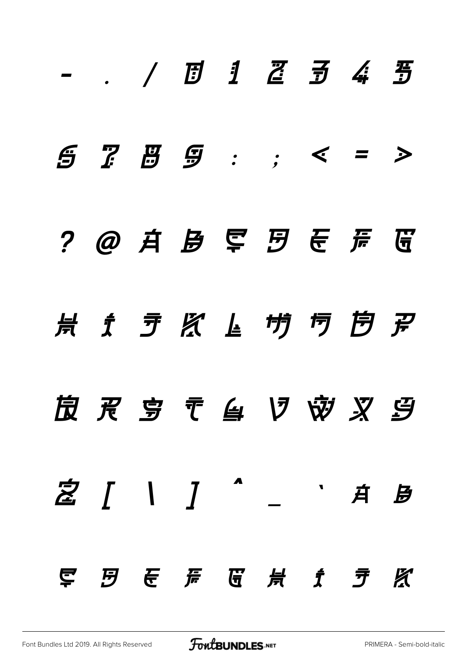|  |  | - . / <i>1 1 2 3 4 3</i>            |  |  |
|--|--|-------------------------------------|--|--|
|  |  | 5755: < <i>z</i>                    |  |  |
|  |  | ? @ 并 身 军 罗 ぞ 弄 蛋                   |  |  |
|  |  |                                     |  |  |
|  |  | <b>皮 灵 亨 〒 刍 V ※ 叉 9</b>            |  |  |
|  |  |                                     |  |  |
|  |  | 写 <i>B</i> T  A  T  H  f <i>f</i> K |  |  |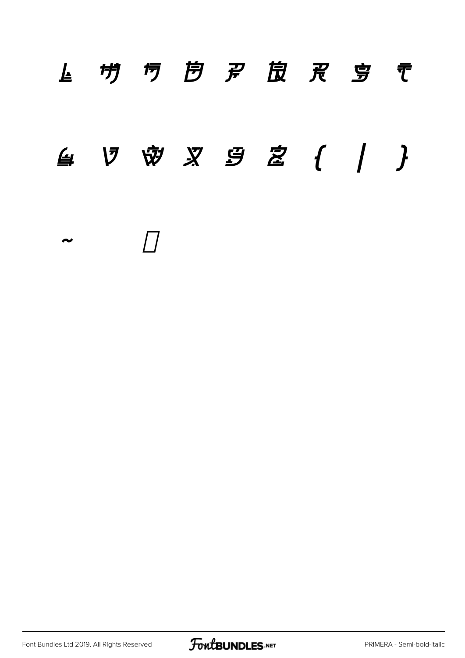## *L* **・ <sup>切</sup> <sup>b</sup>** *b**p* **<u>b</u> p b r b r g s t** *u v w x y z { | } ~*

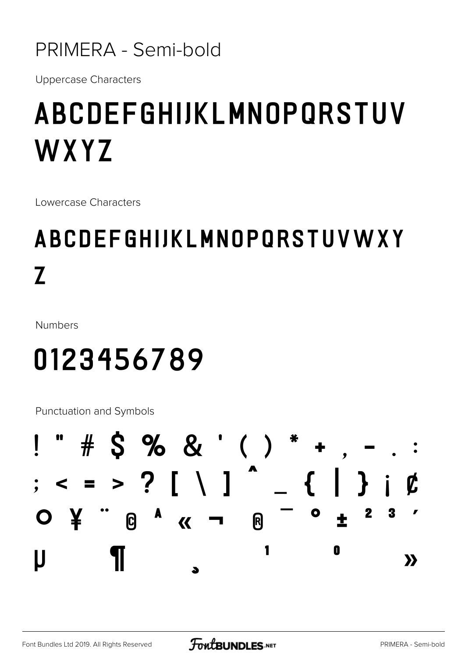### PRIMERA - Semi-bold

**Uppercase Characters** 

## ABCDEFGHIJKLMNOPORSTUV WXYZ

Lowercase Characters

## ABCDEFGHIJKLMNOPQRSTUVWXY  $\overline{L}$

**Numbers** 

## 0123456789

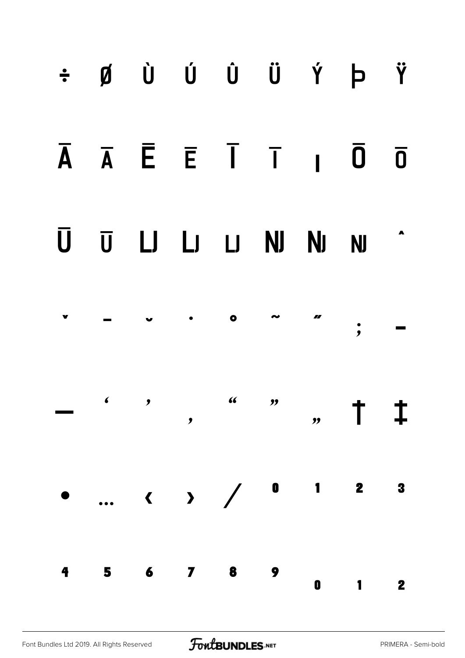## ÷ Ø Ù Ú Û Ü Ý Þ Ÿ

### $\overline{A} \quad \overline{A} \quad \overline{E} \quad \overline{E} \quad \overline{I} \quad \overline{I} \quad I \quad \overline{0}$  $\overline{\mathbf{0}}$

#### Ū U LJ LJ LJ NJ NJ **NJ**



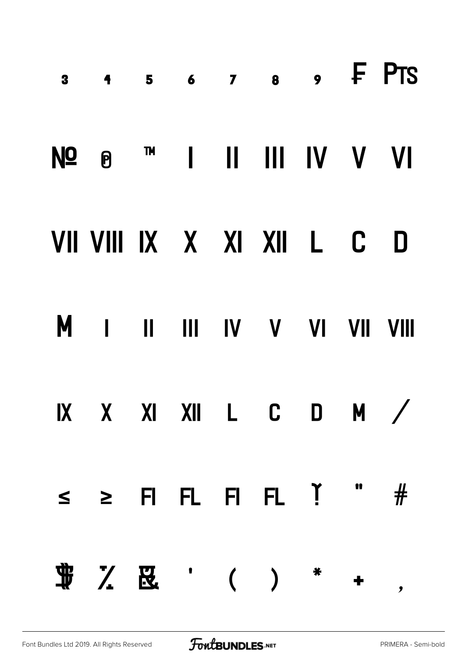| 3 4 5 6 7 8 9 F PTS                     |  |  |  |  |
|-----------------------------------------|--|--|--|--|
| Nº 0 ™ 1 II III IV V VI                 |  |  |  |  |
| VII VIII IX X XI XII L C D              |  |  |  |  |
| M I II III IV V VI VII VIII             |  |  |  |  |
| IX X XI XII L C D M /                   |  |  |  |  |
| $\leq$ $\geq$ FIFL FIFL $\check{1}$ " # |  |  |  |  |
|                                         |  |  |  |  |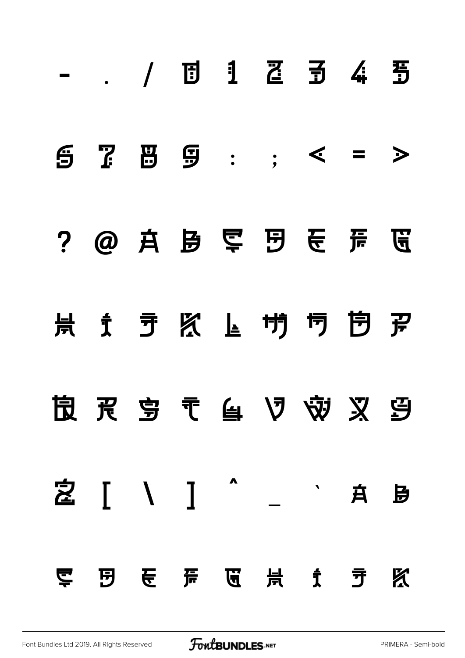|  |  | - . / 団 1 召 引 4 当          |  |   |
|--|--|----------------------------|--|---|
|  |  | $5759:; < = >$             |  |   |
|  |  | ? @ 真 是 晕 囝 長 黃 區          |  |   |
|  |  |                            |  |   |
|  |  |                            |  |   |
|  |  | 之 [ \ ] ^ _ ` A B          |  |   |
|  |  | <b>写 囝 U H U H f h h m</b> |  | Х |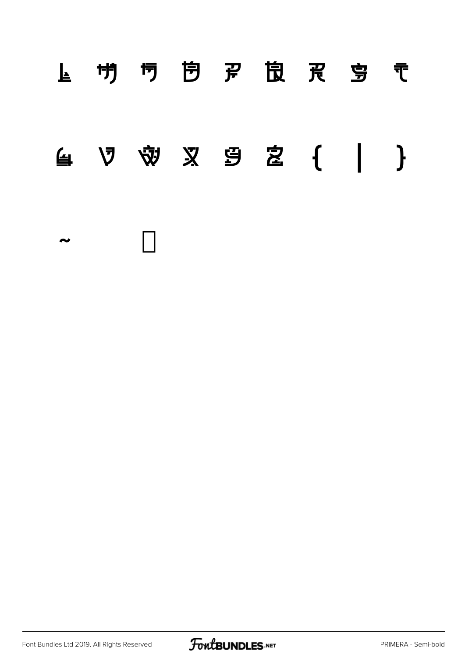## **l m n o p q r s t u v w x y z { | } ~**

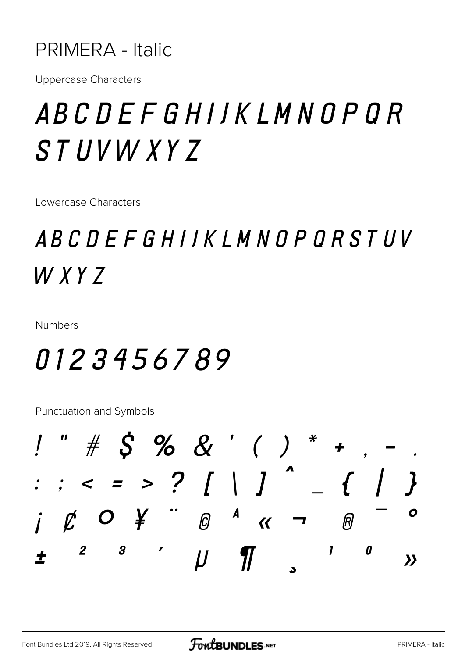### **PRIMERA - Italic**

**Uppercase Characters** 

## ABCDEFGHIJKLMNOPOR **STUVWXYZ**

Lowercase Characters

## ABCDEFGHIJKLMNOPORSTUV  $WXYZ$

**Numbers** 

### 0123456789

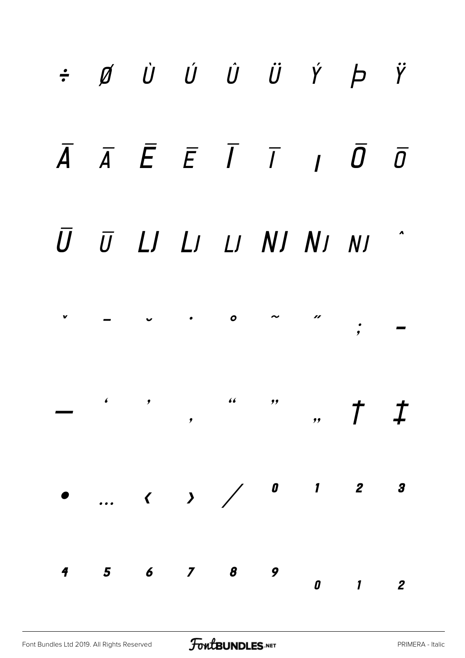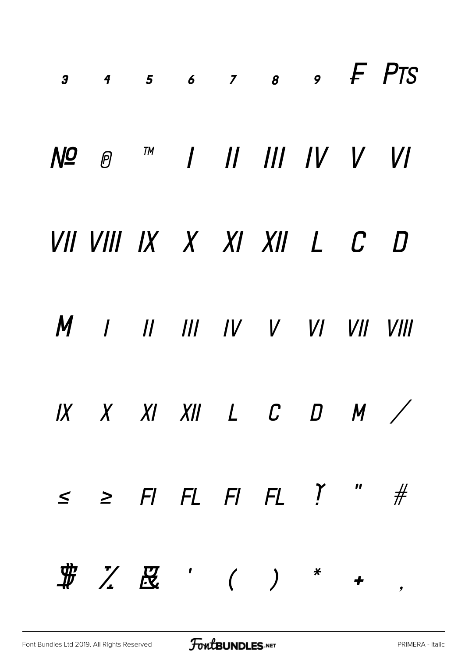| 3 4 5 6 7 8 9 F PTS                                                                                                                                                                                                                                                                                                                      |  |  |  |  |
|------------------------------------------------------------------------------------------------------------------------------------------------------------------------------------------------------------------------------------------------------------------------------------------------------------------------------------------|--|--|--|--|
| Nº <i>®</i> ™            /  /                                                                                                                                                                                                                                                                                                            |  |  |  |  |
| VII VIII IX X XI XII L C D                                                                                                                                                                                                                                                                                                               |  |  |  |  |
| M I II III IV V VI VII VIII                                                                                                                                                                                                                                                                                                              |  |  |  |  |
| $IX$ $X$ $XI$ $XII$ $L$ $C$ $D$ $M$ $\diagup$                                                                                                                                                                                                                                                                                            |  |  |  |  |
| $\leq$ $\geq$ $\vdash$ $\vdash$ $\vdash$ $\vdash$ $\vdash$ $\vdash$ $\vdash$ $\vdash$ $\vdash$ $\vdash$ $\vdash$ $\vdash$ $\vdash$ $\vdash$ $\vdash$ $\vdash$ $\vdash$ $\vdash$ $\vdash$ $\vdash$ $\vdash$ $\vdash$ $\vdash$ $\vdash$ $\vdash$ $\vdash$ $\vdash$ $\vdash$ $\vdash$ $\vdash$ $\vdash$ $\vdash$ $\vdash$ $\vdash$ $\vdash$ |  |  |  |  |
| $\begin{array}{cccccccccccccc} \# & \diagup & \diagup & \boxtimes & \quad ( & & ) & & {}^* & & {}^* & & {}^* \end{array}$                                                                                                                                                                                                                |  |  |  |  |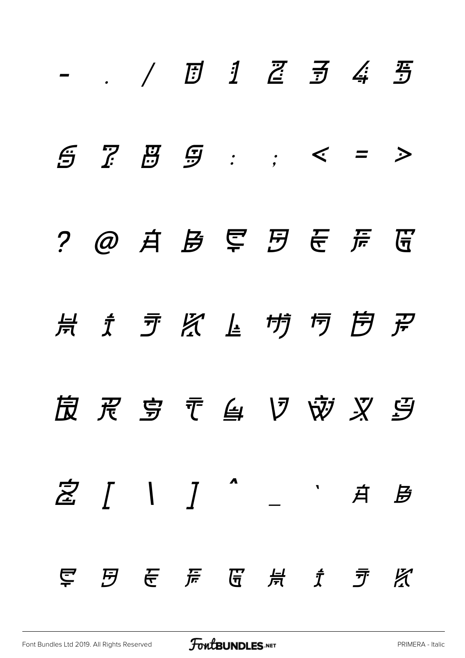|  |  | - , / $\overline{D}$ $\overline{1}$ $\overline{2}$ $\overline{3}$ $\overline{4}$ $\overline{3}$ |  |  |
|--|--|-------------------------------------------------------------------------------------------------|--|--|
|  |  | $5755: < -20$                                                                                   |  |  |
|  |  |                                                                                                 |  |  |
|  |  | <b>点 文 矛 名 上 ヴ 丏 戹 孕</b>                                                                        |  |  |
|  |  | <b>皮 灵 亨 〒 鱼 V ※ 叉 9</b>                                                                        |  |  |
|  |  |                                                                                                 |  |  |
|  |  | 早日長房蛋景をする                                                                                       |  |  |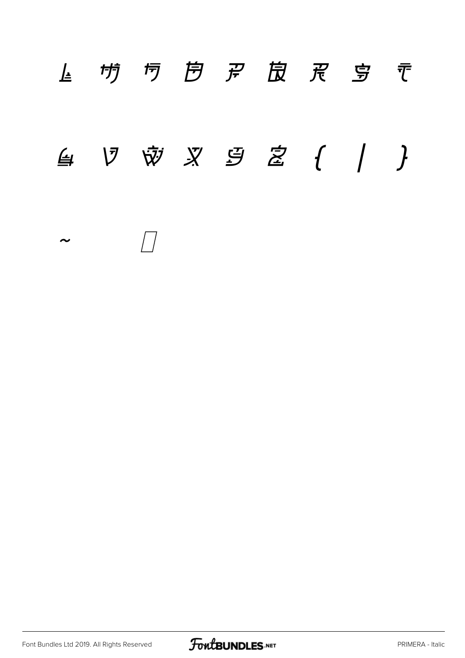## *l m n o p q r s t*  $\n 4\n$  *V* <br> *w x* <br> *y* <br> *y* <br> *y* <br> *y* <br> *y* <br> *y* <br> *y* <br> *y* <br> *y* <br> *z* <br> *(* / <br> *~*

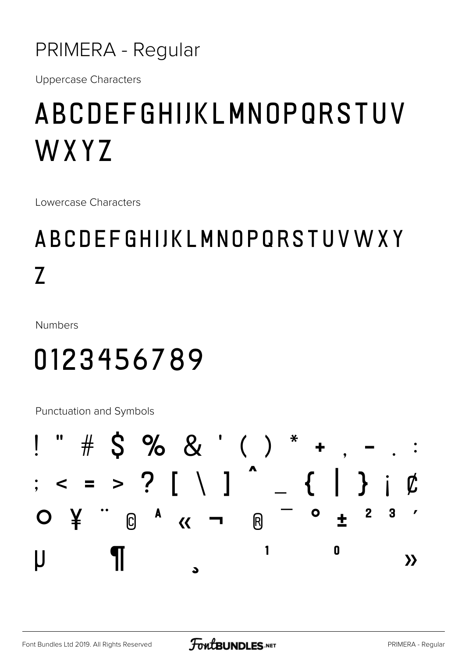### PRIMERA - Regular

**Uppercase Characters** 

## ABCDEFGHIJKLMNOPQRSTUV WXYZ

Lowercase Characters

## ABCDEFGHIJKLMNOPORSTUVWXY  $\overline{Z}$

**Numbers** 

## 0123456789

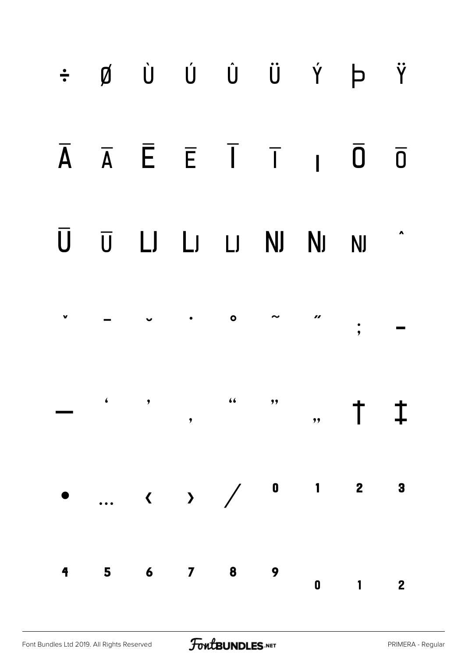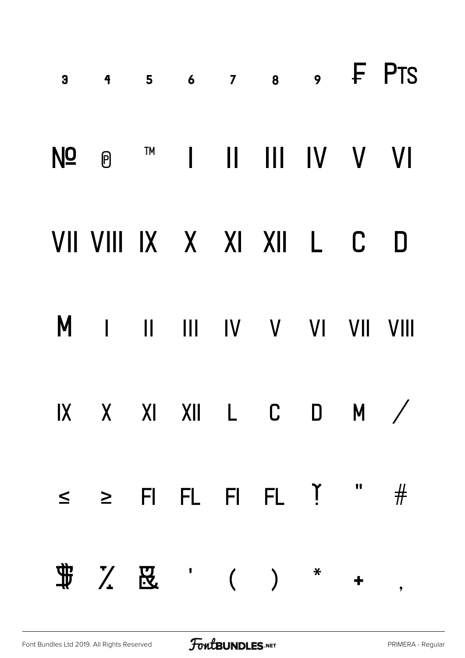| 3 4 5 6 7 8 9 F PTS                       |  |  |  |  |
|-------------------------------------------|--|--|--|--|
| Nº ® ™ I II III IV V VI                   |  |  |  |  |
| VII VIII IX X XI XII L C D                |  |  |  |  |
| M I II III IV V VI VII VIII               |  |  |  |  |
| IX X XI XII L C D M /                     |  |  |  |  |
| $\leq$ $\geq$ FI FL FI FL $\check{1}$ " # |  |  |  |  |
|                                           |  |  |  |  |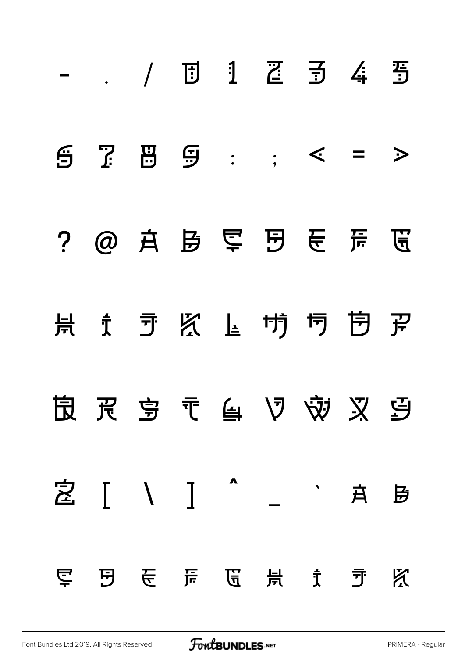|     |  |  | $67.59:75 = 5$               |  |   |
|-----|--|--|------------------------------|--|---|
|     |  |  | ? @ 真 是 晕 囝 長 芹 區            |  |   |
|     |  |  |                              |  |   |
|     |  |  | <b>良 民 亨 〒 自 V ※ 又 9</b>     |  |   |
|     |  |  | 之 [ \ ] ^ _ ` A B            |  |   |
| ごとる |  |  | [5] (15) 后, [6] (16) 片, 方, 方 |  | 区 |